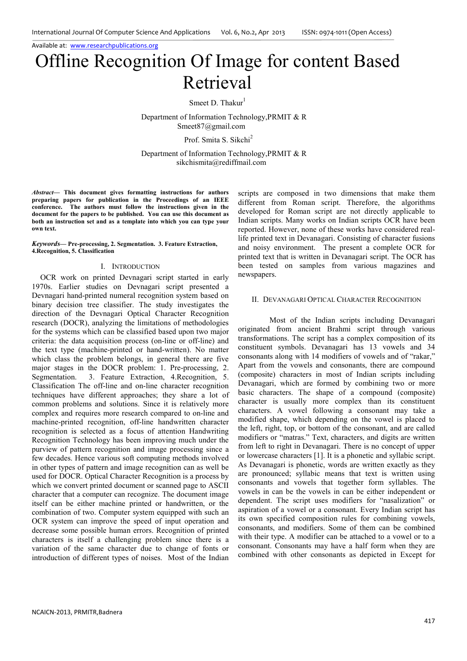# Offline Recognition Of Image for content Based Retrieval

Smeet D. Thakur<sup>1</sup>

 Department of Information Technology,PRMIT & R Smeet87@gmail.com

Prof. Smita S. Sikchi<sup>2</sup>

Department of Information Technology,PRMIT & R sikchismita@rediffmail.com

*Abstract***— This document gives formatting instructions for authors preparing papers for publication in the Proceedings of an IEEE conference. The authors must follow the instructions given in the document for the papers to be published. You can use this document as both an instruction set and as a template into which you can type your own text.** 

*Keywords***— Pre-processing, 2. Segmentation. 3. Feature Extraction, 4.Recognition, 5. Classification**

#### I. INTRODUCTION

OCR work on printed Devnagari script started in early 1970s. Earlier studies on Devnagari script presented a Devnagari hand-printed numeral recognition system based on binary decision tree classifier. The study investigates the direction of the Devnagari Optical Character Recognition research (DOCR), analyzing the limitations of methodologies for the systems which can be classified based upon two major criteria: the data acquisition process (on-line or off-line) and the text type (machine-printed or hand-written). No matter which class the problem belongs, in general there are five major stages in the DOCR problem: 1. Pre-processing, 2. Segmentation. 3. Feature Extraction, 4.Recognition, 5. Classification The off-line and on-line character recognition techniques have different approaches; they share a lot of common problems and solutions. Since it is relatively more complex and requires more research compared to on-line and machine-printed recognition, off-line handwritten character recognition is selected as a focus of attention Handwriting Recognition Technology has been improving much under the purview of pattern recognition and image processing since a few decades. Hence various soft computing methods involved in other types of pattern and image recognition can as well be used for DOCR. Optical Character Recognition is a process by which we convert printed document or scanned page to ASCII character that a computer can recognize. The document image itself can be either machine printed or handwritten, or the combination of two. Computer system equipped with such an OCR system can improve the speed of input operation and decrease some possible human errors. Recognition of printed characters is itself a challenging problem since there is a variation of the same character due to change of fonts or introduction of different types of noises. Most of the Indian

scripts are composed in two dimensions that make them different from Roman script. Therefore, the algorithms developed for Roman script are not directly applicable to Indian scripts. Many works on Indian scripts OCR have been reported. However, none of these works have considered reallife printed text in Devanagari. Consisting of character fusions and noisy environment. The present a complete OCR for printed text that is written in Devanagari script. The OCR has been tested on samples from various magazines and newspapers.

## II. DEVANAGARI OPTICAL CHARACTER RECOGNITION

Most of the Indian scripts including Devanagari originated from ancient Brahmi script through various transformations. The script has a complex composition of its constituent symbols. Devanagari has 13 vowels and 34 consonants along with 14 modifiers of vowels and of "rakar," Apart from the vowels and consonants, there are compound (composite) characters in most of Indian scripts including Devanagari, which are formed by combining two or more basic characters. The shape of a compound (composite) character is usually more complex than its constituent characters. A vowel following a consonant may take a modified shape, which depending on the vowel is placed to the left, right, top, or bottom of the consonant, and are called modifiers or "matras." Text, characters, and digits are written from left to right in Devanagari. There is no concept of upper or lowercase characters [1]. It is a phonetic and syllabic script. As Devanagari is phonetic, words are written exactly as they are pronounced; syllabic means that text is written using consonants and vowels that together form syllables. The vowels in can be the vowels in can be either independent or dependent. The script uses modifiers for "nasalization" or aspiration of a vowel or a consonant. Every Indian script has its own specified composition rules for combining vowels, consonants, and modifiers. Some of them can be combined with their type. A modifier can be attached to a vowel or to a consonant. Consonants may have a half form when they are combined with other consonants as depicted in Except for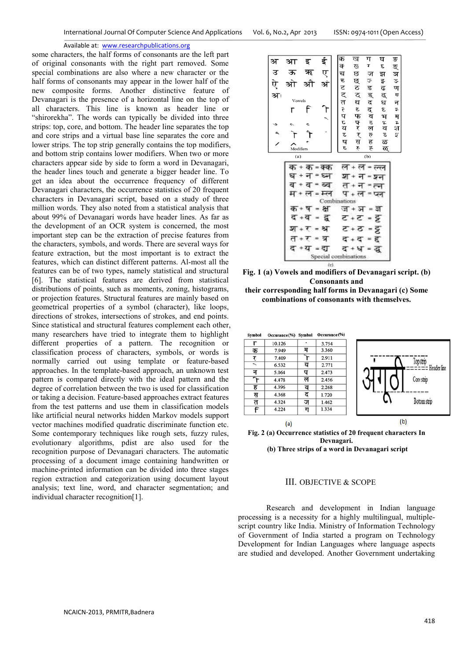some characters, the half forms of consonants are the left part of original consonants with the right part removed. Some special combinations are also where a new character or the half forms of consonants may appear in the lower half of the new composite forms. Another distinctive feature of Devanagari is the presence of a horizontal line on the top of all characters. This line is known as header line or "shirorekha". The words can typically be divided into three strips: top, core, and bottom. The header line separates the top and core strips and a virtual base line separates the core and lower strips. The top strip generally contains the top modifiers, and bottom strip contains lower modifiers. When two or more characters appear side by side to form a word in Devanagari, the header lines touch and generate a bigger header line. To get an idea about the occurrence frequency of different Devanagari characters, the occurrence statistics of 20 frequent characters in Devanagari script, based on a study of three million words. They also noted from a statistical analysis that about 99% of Devanagari words have header lines. As far as the development of an OCR system is concerned, the most important step can be the extraction of precise features from the characters, symbols, and words. There are several ways for feature extraction, but the most important is to extract the features, which can distinct different patterns. Al-most all the features can be of two types, namely statistical and structural [6]. The statistical features are derived from statistical distributions of points, such as moments, zoning, histograms, or projection features. Structural features are mainly based on geometrical properties of a symbol (character), like loops, directions of strokes, intersections of strokes, and end points. Since statistical and structural features complement each other, many researchers have tried to integrate them to highlight different properties of a pattern. The recognition or classification process of characters, symbols, or words is normally carried out using template or feature-based approaches. In the template-based approach, an unknown test pattern is compared directly with the ideal pattern and the degree of correlation between the two is used for classification or taking a decision. Feature-based approaches extract features from the test patterns and use them in classification models like artificial neural networks hidden Markov models support vector machines modified quadratic discriminate function etc. Some contemporary techniques like rough sets, fuzzy rules, evolutionary algorithms, pdist are also used for the recognition purpose of Devanagari characters. The automatic processing of a document image containing handwritten or machine-printed information can be divided into three stages region extraction and categorization using document layout analysis; text line, word, and character segmentation; and individual character recognition[1].



**Fig. 1 (a) Vowels and modifiers of Devanagari script. (b) Consonants and their corresponding half forms in Devanagari (c) Some combinations of consonants with themselves.** 



**Fig. 2 (a) Occurrence statistics of 20 frequent characters In Devnagari. (b) Three strips of a word in Devanagari script** 

## III. OBJECTIVE & SCOPE

Research and development in Indian language processing is a necessity for a highly multilingual, multiplescript country like India. Ministry of Information Technology of Government of India started a program on Technology Development for Indian Languages where language aspects are studied and developed. Another Government undertaking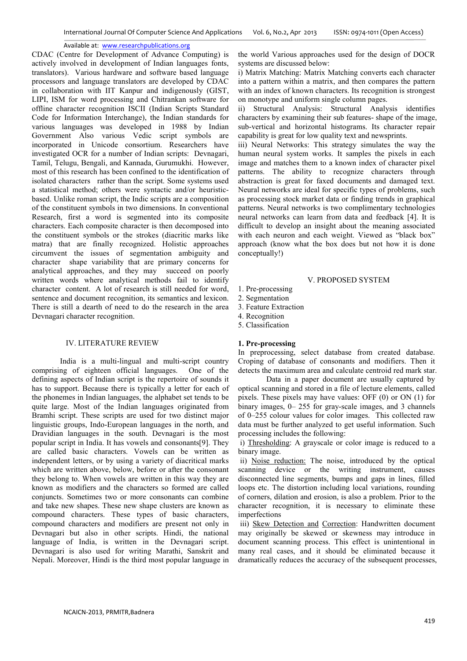CDAC (Centre for Development of Advance Computing) is actively involved in development of Indian languages fonts, translators). Various hardware and software based language processors and language translators are developed by CDAC in collaboration with IIT Kanpur and indigenously (GIST, LIPI, ISM for word processing and Chitrankan software for offline character recognition ISCII (Indian Scripts Standard Code for Information Interchange), the Indian standards for various languages was developed in 1988 by Indian Government Also various Vedic script symbols are incorporated in Unicode consortium. Researchers have investigated OCR for a number of Indian scripts: Devnagari, Tamil, Telugu, Bengali, and Kannada, Gurumukhi. However, most of this research has been confined to the identification of isolated characters rather than the script. Some systems used a statistical method; others were syntactic and/or heuristicbased. Unlike roman script, the Indic scripts are a composition of the constituent symbols in two dimensions. In conventional Research, first a word is segmented into its composite characters. Each composite character is then decomposed into the constituent symbols or the strokes (diacritic marks like matra) that are finally recognized. Holistic approaches circumvent the issues of segmentation ambiguity and character shape variability that are primary concerns for analytical approaches, and they may succeed on poorly written words where analytical methods fail to identify character content. A lot of research is still needed for word, sentence and document recognition, its semantics and lexicon. There is still a dearth of need to do the research in the area Devnagari character recognition.

## IV. LITERATURE REVIEW

India is a multi-lingual and multi-script country comprising of eighteen official languages. One of the defining aspects of Indian script is the repertoire of sounds it has to support. Because there is typically a letter for each of the phonemes in Indian languages, the alphabet set tends to be quite large. Most of the Indian languages originated from Bramhi script. These scripts are used for two distinct major linguistic groups, Indo-European languages in the north, and Dravidian languages in the south. Devnagari is the most popular script in India. It has vowels and consonants[9]. They are called basic characters. Vowels can be written as independent letters, or by using a variety of diacritical marks which are written above, below, before or after the consonant they belong to. When vowels are written in this way they are known as modifiers and the characters so formed are called conjuncts. Sometimes two or more consonants can combine and take new shapes. These new shape clusters are known as compound characters. These types of basic characters, compound characters and modifiers are present not only in Devnagari but also in other scripts. Hindi, the national language of India, is written in the Devnagari script. Devnagari is also used for writing Marathi, Sanskrit and Nepali. Moreover, Hindi is the third most popular language in

the world Various approaches used for the design of DOCR systems are discussed below:

i) Matrix Matching: Matrix Matching converts each character into a pattern within a matrix, and then compares the pattern with an index of known characters. Its recognition is strongest on monotype and uniform single column pages.

ii) Structural Analysis: Structural Analysis identifies characters by examining their sub features- shape of the image, sub-vertical and horizontal histograms. Its character repair capability is great for low quality text and newsprints.

iii) Neural Networks: This strategy simulates the way the human neural system works. It samples the pixels in each image and matches them to a known index of character pixel patterns. The ability to recognize characters through abstraction is great for faxed documents and damaged text. Neural networks are ideal for specific types of problems, such as processing stock market data or finding trends in graphical patterns. Neural networks is two complimentary technologies neural networks can learn from data and feedback [4]. It is difficult to develop an insight about the meaning associated with each neuron and each weight. Viewed as "black box" approach (know what the box does but not how it is done conceptually!)

# V. PROPOSED SYSTEM

- 1. Pre-processing
- 2. Segmentation
- 3. Feature Extraction
- 4. Recognition
- 5. Classification

## **1. Pre-processing**

In preprocessing, select database from created database. Croping of database of consonants and modifiers. Then it detects the maximum area and calculate centroid red mark star.

 Data in a paper document are usually captured by optical scanning and stored in a file of lecture elements, called pixels. These pixels may have values: OFF (0) or ON (1) for binary images, 0– 255 for gray-scale images, and 3 channels of 0–255 colour values for color images. This collected raw data must be further analyzed to get useful information. Such processing includes the following:

 i) Thresholding: A grayscale or color image is reduced to a binary image.

 ii) Noise reduction: The noise, introduced by the optical scanning device or the writing instrument, causes disconnected line segments, bumps and gaps in lines, filled loops etc. The distortion including local variations, rounding of corners, dilation and erosion, is also a problem. Prior to the character recognition, it is necessary to eliminate these imperfections

 iii) Skew Detection and Correction: Handwritten document may originally be skewed or skewness may introduce in document scanning process. This effect is unintentional in many real cases, and it should be eliminated because it dramatically reduces the accuracy of the subsequent processes,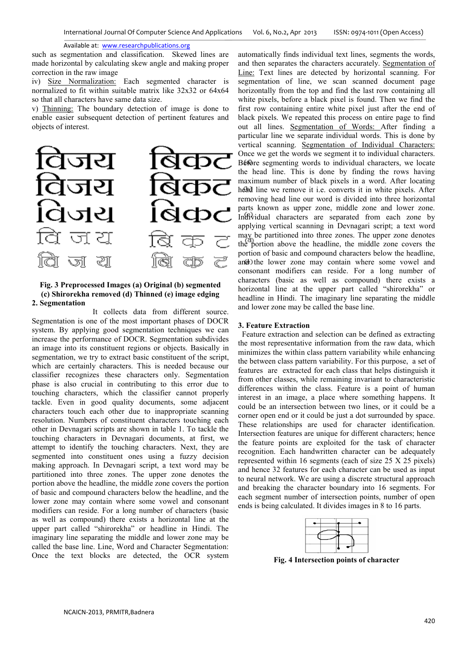such as segmentation and classification. Skewed lines are made horizontal by calculating skew angle and making proper correction in the raw image

iv) Size Normalization: Each segmented character is normalized to fit within suitable matrix like 32x32 or 64x64 so that all characters have same data size.

v) Thinning: The boundary detection of image is done to enable easier subsequent detection of pertinent features and objects of interest.



## **Fig. 3 Preprocessed Images (a) Original (b) segmented (c) Shirorekha removed (d) Thinned (e) image edging 2. Segmentation**

 It collects data from different source. Segmentation is one of the most important phases of DOCR system. By applying good segmentation techniques we can increase the performance of DOCR. Segmentation subdivides an image into its constituent regions or objects. Basically in segmentation, we try to extract basic constituent of the script, which are certainly characters. This is needed because our classifier recognizes these characters only. Segmentation phase is also crucial in contributing to this error due to touching characters, which the classifier cannot properly tackle. Even in good quality documents, some adjacent characters touch each other due to inappropriate scanning resolution. Numbers of constituent characters touching each other in Devnagari scripts are shown in table 1. To tackle the touching characters in Devnagari documents, at first, we attempt to identify the touching characters. Next, they are segmented into constituent ones using a fuzzy decision making approach. In Devnagari script, a text word may be partitioned into three zones. The upper zone denotes the portion above the headline, the middle zone covers the portion of basic and compound characters below the headline, and the lower zone may contain where some vowel and consonant modifiers can reside. For a long number of characters (basic as well as compound) there exists a horizontal line at the upper part called "shirorekha" or headline in Hindi. The imaginary line separating the middle and lower zone may be called the base line. Line, Word and Character Segmentation: Once the text blocks are detected, the OCR system

automatically finds individual text lines, segments the words, and then separates the characters accurately. Segmentation of Line: Text lines are detected by horizontal scanning. For segmentation of line, we scan scanned document page horizontally from the top and find the last row containing all white pixels, before a black pixel is found. Then we find the first row containing entire white pixel just after the end of black pixels. We repeated this process on entire page to find out all lines. Segmentation of Words: After finding a particular line we separate individual words. This is done by vertical scanning. Segmentation of Individual Characters: Once we get the words we segment it to individual characters. Before segmenting words to individual characters, we locate the head line. This is done by finding the rows having maximum number of black pixels in a word. After locating head line we remove it i.e. converts it in white pixels. After removing head line our word is divided into three horizontal parts known as upper zone, middle zone and lower zone. Individual characters are separated from each zone by applying vertical scanning in Devnagari script; a text word may be partitioned into three zones. The upper zone denotes the portion above the headline, the middle zone covers the portion of basic and compound characters below the headline, and the lower zone may contain where some vowel and consonant modifiers can reside. For a long number of characters (basic as well as compound) there exists a horizontal line at the upper part called "shirorekha" or headline in Hindi. The imaginary line separating the middle and lower zone may be called the base line.

## **3. Feature Extraction**

 Feature extraction and selection can be defined as extracting the most representative information from the raw data, which minimizes the within class pattern variability while enhancing the between class pattern variability. For this purpose, a set of features are extracted for each class that helps distinguish it from other classes, while remaining invariant to characteristic differences within the class. Feature is a point of human interest in an image, a place where something happens. It could be an intersection between two lines, or it could be a corner open end or it could be just a dot surrounded by space. These relationships are used for character identification. Intersection features are unique for different characters; hence the feature points are exploited for the task of character recognition. Each handwritten character can be adequately represented within 16 segments (each of size 25 X 25 pixels) and hence 32 features for each character can be used as input to neural network. We are using a discrete structural approach and breaking the character boundary into 16 segments. For each segment number of intersection points, number of open ends is being calculated. It divides images in 8 to 16 parts.



**Fig. 4 Intersection points of character**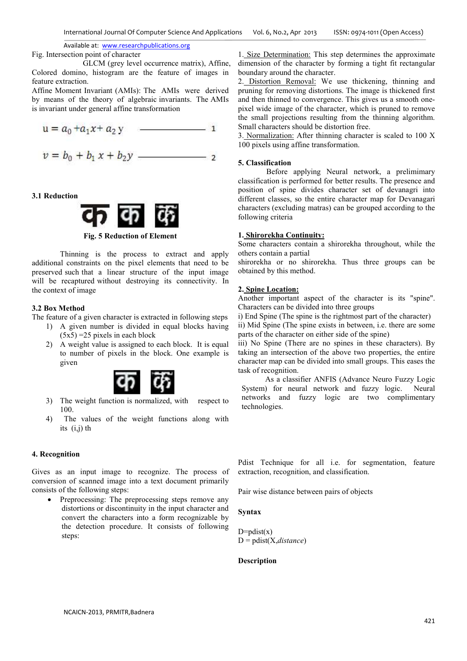Fig. Intersection point of character

 GLCM (grey level occurrence matrix), Affine, Colored domino, histogram are the feature of images in feature extraction.

Affine Moment Invariant (AMIs): The AMIs were derived by means of the theory of algebraic invariants. The AMIs is invariant under general affine transformation

$$
u = a_0 + a_1 x + a_2 y
$$
 1  

$$
v = b_0 + b_1 x + b_2 y
$$
 2

## **3.1 Reduction**



# **Fig. 5 Reduction of Element**

Thinning is the process to extract and apply additional constraints on the pixel elements that need to be preserved such that a linear structure of the input image will be recaptured without destroying its connectivity. In the context of image

# **3.2 Box Method**

The feature of a given character is extracted in following steps

- 1) A given number is divided in equal blocks having  $(5x5) = 25$  pixels in each block
- 2) A weight value is assigned to each block. It is equal to number of pixels in the block. One example is given



- 3) The weight function is normalized, with respect to 100.
- 4) The values of the weight functions along with its (i,j) th

# **4. Recognition**

Gives as an input image to recognize. The process of conversion of scanned image into a text document primarily consists of the following steps:

Preprocessing: The preprocessing steps remove any distortions or discontinuity in the input character and convert the characters into a form recognizable by the detection procedure. It consists of following steps:

1. Size Determination: This step determines the approximate dimension of the character by forming a tight fit rectangular boundary around the character.

2. Distortion Removal: We use thickening, thinning and pruning for removing distortions. The image is thickened first and then thinned to convergence. This gives us a smooth onepixel wide image of the character, which is pruned to remove the small projections resulting from the thinning algorithm. Small characters should be distortion free.

3. Normalization: After thinning character is scaled to 100 X 100 pixels using affine transformation.

## **5. Classification**

Before applying Neural network, a prelimimary classification is performed for better results. The presence and position of spine divides character set of devanagri into different classes, so the entire character map for Devanagari characters (excluding matras) can be grouped according to the following criteria

## **1. Shirorekha Continuity:**

Some characters contain a shirorekha throughout, while the others contain a partial

shirorekha or no shirorekha. Thus three groups can be obtained by this method.

## **2. Spine Location:**

Another important aspect of the character is its "spine". Characters can be divided into three groups

i) End Spine (The spine is the rightmost part of the character) ii) Mid Spine (The spine exists in between, i.e. there are some parts of the character on either side of the spine)

iii) No Spine (There are no spines in these characters). By taking an intersection of the above two properties, the entire character map can be divided into small groups. This eases the task of recognition.

 As a classifier ANFIS (Advance Neuro Fuzzy Logic System) for neural network and fuzzy logic. Neural networks and fuzzy logic are two complimentary technologies.

Pdist Technique for all i.e. for segmentation, feature extraction, recognition, and classification.

Pair wise distance between pairs of objects

# **Syntax**

D=pdist $(x)$ D = pdist(X,*distance*)

# **Description**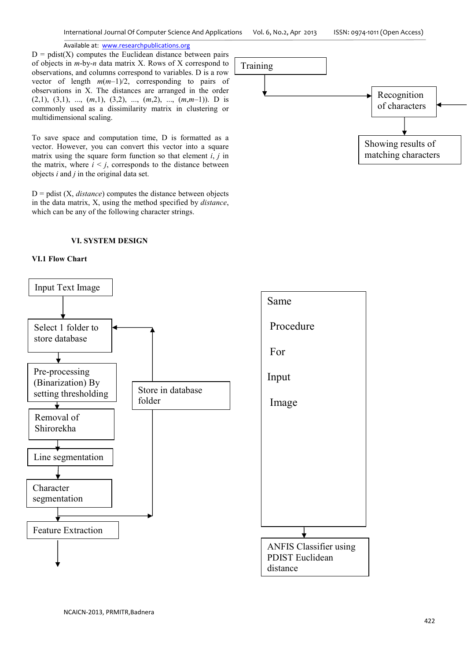$D = \text{pdist}(X)$  computes the Euclidean distance between pairs of objects in *m*-by-*n* data matrix X. Rows of X correspond to observations, and columns correspond to variables. D is a row vector of length *m*(*m*–1)/2, corresponding to pairs of observations in X. The distances are arranged in the order (2,1), (3,1), ..., (*m*,1), (3,2), ..., (*m*,2), ..., (*m*,*m*–1)). D is commonly used as a dissimilarity matrix in clustering or multidimensional scaling.

To save space and computation time, D is formatted as a vector. However, you can convert this vector into a square matrix using the square form function so that element *i*, *j* in the matrix, where  $i \leq j$ , corresponds to the distance between objects *i* and *j* in the original data set.

 $D =$  pdist  $(X, distance)$  computes the distance between objects in the data matrix, X, using the method specified by *distance*, which can be any of the following character strings.

## **VI. SYSTEM DESIGN**

## **VI.1 Flow Chart**





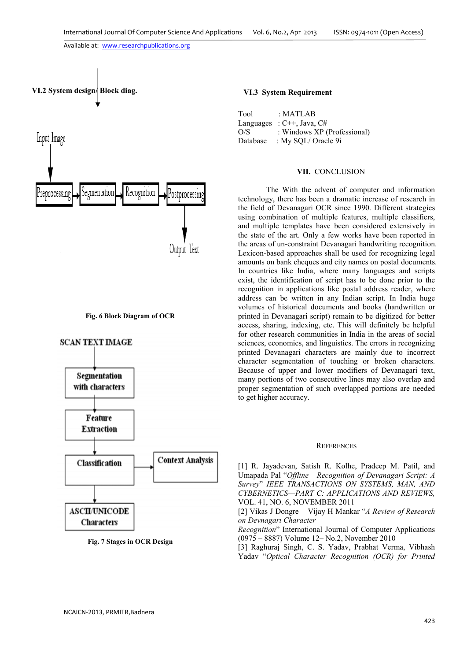

#### **Fig. 6 Block Diagram of OCR**



**Fig. 7 Stages in OCR Design** 

# **VI.3 System Requirement**

| Tool     | : MATLAB                       |
|----------|--------------------------------|
|          | Languages : $C++$ , Java, $C#$ |
| O/S      | : Windows XP (Professional)    |
| Database | : My SQL/ Oracle 9i            |

## **VII.** CONCLUSION

The With the advent of computer and information technology, there has been a dramatic increase of research in the field of Devanagari OCR since 1990. Different strategies using combination of multiple features, multiple classifiers, and multiple templates have been considered extensively in the state of the art. Only a few works have been reported in the areas of un-constraint Devanagari handwriting recognition. Lexicon-based approaches shall be used for recognizing legal amounts on bank cheques and city names on postal documents. In countries like India, where many languages and scripts exist, the identification of script has to be done prior to the recognition in applications like postal address reader, where address can be written in any Indian script. In India huge volumes of historical documents and books (handwritten or printed in Devanagari script) remain to be digitized for better access, sharing, indexing, etc. This will definitely be helpful for other research communities in India in the areas of social sciences, economics, and linguistics. The errors in recognizing printed Devanagari characters are mainly due to incorrect character segmentation of touching or broken characters. Because of upper and lower modifiers of Devanagari text, many portions of two consecutive lines may also overlap and proper segmentation of such overlapped portions are needed to get higher accuracy.

#### **REFERENCES**

[1] R. Jayadevan, Satish R. Kolhe, Pradeep M. Patil, and Umapada Pal "*Offline Recognition of Devanagari Script: A Survey*" *IEEE TRANSACTIONS ON SYSTEMS, MAN, AND CYBERNETICS—PART C: APPLICATIONS AND REVIEWS,* VOL. 41, NO. 6, NOVEMBER 2011

[2] Vikas J Dongre Vijay H Mankar "*A Review of Research on Devnagari Character* 

*Recognition*" International Journal of Computer Applications (0975 – 8887) Volume 12– No.2, November 2010

[3] Raghuraj Singh, C. S. Yadav, Prabhat Verma, Vibhash Yadav "*Optical Character Recognition (OCR) for Printed*